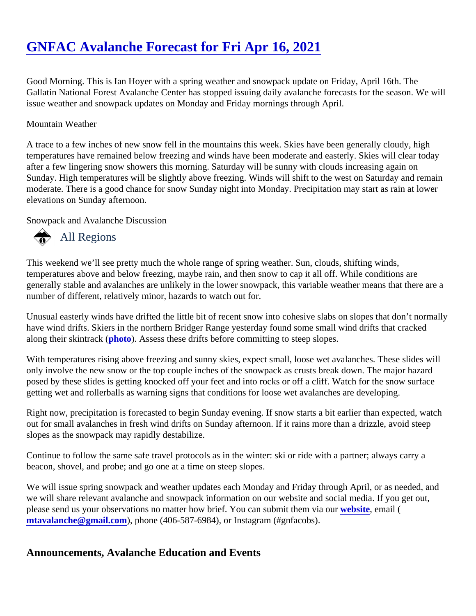# [GNFAC Avalanche Forecast for Fri Apr 16, 2021](https://www.mtavalanche.com/forecast/21/04/16)

Good Morning. This is Ian Hoyer with a spring weather and snowpack update on Friday, April 16th. The Gallatin National Forest Avalanche Center has stopped issuing daily avalanche forecasts for the season. We issue weather and snowpack updates on Monday and Friday mornings through April.

#### Mountain Weather

A trace to a few inches of new snow fell in the mountains this week. Skies have been generally cloudy, high temperatures have remained below freezing and winds have been moderate and easterly. Skies will clear tod after a few lingering snow showers this morning. Saturday will be sunny with clouds increasing again on Sunday. High temperatures will be slightly above freezing. Winds will shift to the west on Saturday and remain moderate. There is a good chance for snow Sunday night into Monday. Precipitation may start as rain at lowe elevations on Sunday afternoon.

Snowpack and Avalanche Discussion

## All Regions

This weekend we'll see pretty much the whole range of spring weather. Sun, clouds, shifting winds, temperatures above and below freezing, maybe rain, and then snow to cap it all off. While conditions are generally stable and avalanches are unlikely in the lower snowpack, this variable weather means that there a number of different, relatively minor, hazards to watch out for.

Unusual easterly winds have drifted the little bit of recent snow into cohesive slabs on slopes that don't norma have wind drifts. Skiers in the northern Bridger Range yesterday found some small wind drifts that cracked along their skintrac[k \(photo](https://www.mtavalanche.com/images/21/wind-drifts-near-flathead-pass)). Assess these drifts before committing to steep slopes.

With temperatures rising above freezing and sunny skies, expect small, loose wet avalanches. These slides v only involve the new snow or the top couple inches of the snowpack as crusts break down. The major hazard posed by these slides is getting knocked off your feet and into rocks or off a cliff. Watch for the snow surface getting wet and rollerballs as warning signs that conditions for loose wet avalanches are developing.

Right now, precipitation is forecasted to begin Sunday evening. If snow starts a bit earlier than expected, wate out for small avalanches in fresh wind drifts on Sunday afternoon. If it rains more than a drizzle, avoid steep slopes as the snowpack may rapidly destabilize.

Continue to follow the same safe travel protocols as in the winter: ski or ride with a partner; always carry a beacon, shovel, and probe; and go one at a time on steep slopes.

We will issue spring snowpack and weather updates each Monday and Friday through April, or as needed, ar we will share relevant avalanche and snowpack information on our website and social media. If you get out, please send us your observations no matter how brief. You can submit themwebsite email ( [mtavalanche@gmail.com](mailto:mtavalanche@gmail.com)), phone (406-587-6984), or Instagram (#gnfacobs).

Announcements, Avalanche Education and Events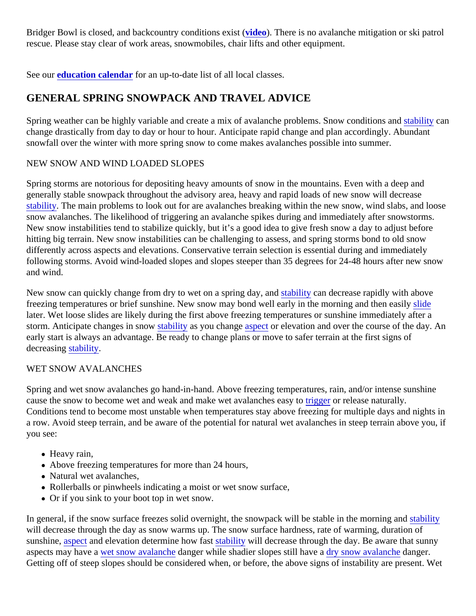Bridger Bowl is closed, and backcountry conditions existeo). There is no avalanche mitigation or ski patrol rescue. Please stay clear of work areas, snowmobiles, chair lifts and other equipment.

See oureducation calendarfor an up-to-date list of all local classes.

## GENERAL SPRING SNOWPACK AND TRAVEL ADVICE

Spring weather can be highly variable and create a mix of avalanche problems. Snow conditions land and stated and stated and stated and stated with the stated with candi[tions an](https://www.mtavalanche.com/taxonomy/term/309)d stated and stated with  $\frac{1}{2}$ change drastically from day to day or hour to hour. Anticipate rapid change and plan accordingly. Abundant snowfall over the winter with more spring snow to come makes avalanches possible into summer.

### NEW SNOW AND WIND LOADED SLOPES

Spring storms are notorious for depositing heavy amounts of snow in the mountains. Even with a deep and generally stable snowpack throughout the advisory area, heavy and rapid loads of new snow will decrease [stability.](https://www.mtavalanche.com/taxonomy/term/309) The main problems to look out for are avalanches breaking within the new snow, wind slabs, and loo snow avalanches. The likelihood of triggering an avalanche spikes during and immediately after snowstorms. New snow instabilities tend to stabilize quickly, but it's a good idea to give fresh snow a day to adjust before hitting big terrain. New snow instabilities can be challenging to assess, and spring storms bond to old snow differently across aspects and elevations. Conservative terrain selection is essential during and immediately following storms. Avoid wind-loaded slopes and slopes steeper than 35 degrees for 24-48 hours after new snow and wind.

New snow can quickly change from dry to wet on a spring day, stability can decrease rapidly with above freezing temperatures or brief sunshine. New snow may bond well early in the morning and then deasily later. Wet loose slides are likely during the first above freezing temperatures or sunshine immediately after a storm. Anticipate changes in snow ability as you change spector elevation and over the course of the day. An early start is always an advantage. Be ready to change plans or move to safer terrain at the first signs of decreasing tability.

#### WET SNOW AVALANCHES

Spring and wet snow avalanches go hand-in-hand. Above freezing temperatures, rain, and/or intense sunshir cause the snow to become wet and weak and make wet avalanches reasy to release naturally. Conditions tend to become most unstable when temperatures stay above freezing for multiple days and night a row. Avoid steep terrain, and be aware of the potential for natural wet avalanches in steep terrain above you you see:

- Heavy rain,
- Above freezing temperatures for more than 24 hours,
- Natural wet avalanches,
- Rollerballs or pinwheels indicating a moist or wet snow surface,
- Or if you sink to your boot top in wet snow.

In general, if the snow surface freezes solid overnight, the snowpack will be stable in the morning bility will decrease through the day as snow warms up. The snow surface hardness, rate of warming, duration of sunshine aspectand elevation determine how fast bility will decrease through the day. Be aware that sunny aspectsmay have weet snow avalanche anger while shadier slopes still have rasnow avalanche anger. Getting off of steep slopes should be considered when, or before, the above signs of instability are present. V